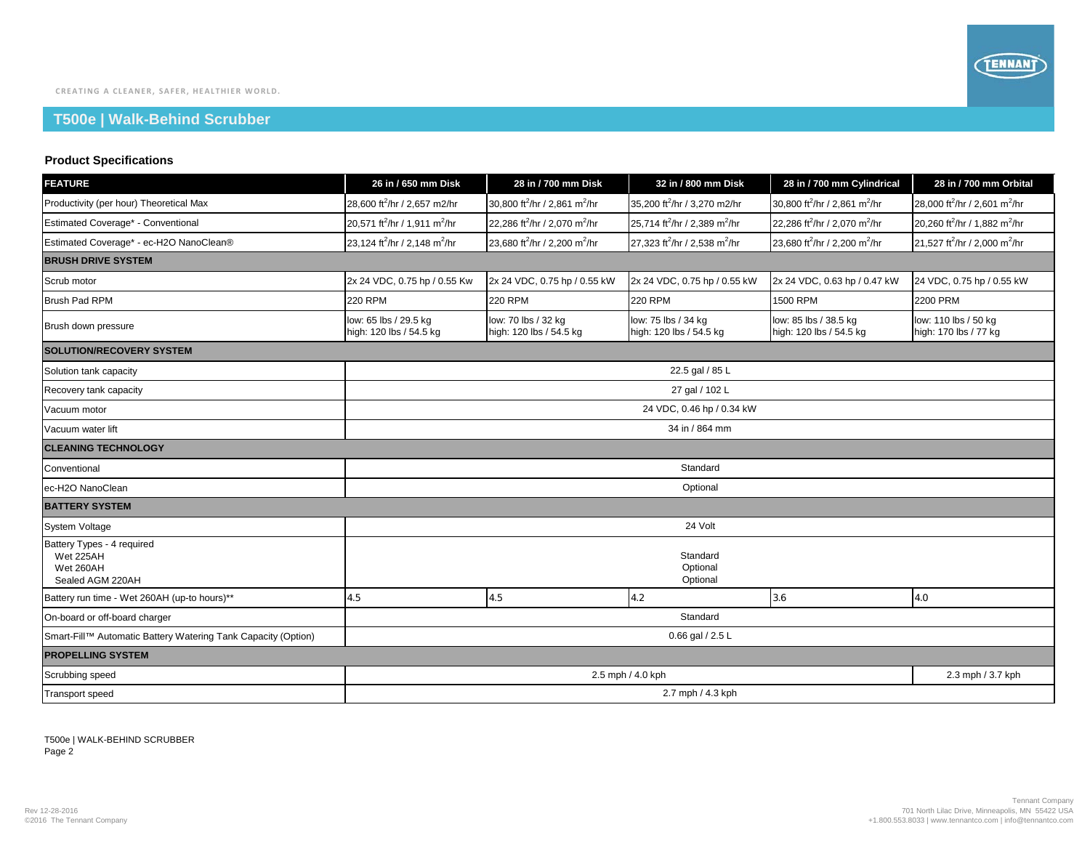## **T500e | Walk-Behind Scrubber**

## **Product Specifications**

| <b>FEATURE</b>                                                           | 26 in / 650 mm Disk                                   | 28 in / 700 mm Disk                                   | 32 in / 800 mm Disk                                   | 28 in / 700 mm Cylindrical                            | 28 in / 700 mm Orbital                                |  |  |  |
|--------------------------------------------------------------------------|-------------------------------------------------------|-------------------------------------------------------|-------------------------------------------------------|-------------------------------------------------------|-------------------------------------------------------|--|--|--|
| Productivity (per hour) Theoretical Max                                  | 28,600 ft <sup>2</sup> /hr / 2,657 m2/hr              | 30,800 ft <sup>2</sup> /hr / 2,861 m <sup>2</sup> /hr | 35,200 ft <sup>2</sup> /hr / 3,270 m2/hr              | 30,800 ft <sup>2</sup> /hr / 2,861 m <sup>2</sup> /hr | 28,000 ft <sup>2</sup> /hr / 2,601 m <sup>2</sup> /hr |  |  |  |
| Estimated Coverage* - Conventional                                       | 20,571 ft <sup>2</sup> /hr / 1,911 m <sup>2</sup> /hr | 22.286 ft <sup>2</sup> /hr / 2.070 m <sup>2</sup> /hr | 25,714 ft <sup>2</sup> /hr / 2,389 m <sup>2</sup> /hr | 22.286 ft <sup>2</sup> /hr / 2.070 m <sup>2</sup> /hr | 20,260 ft <sup>2</sup> /hr / 1,882 m <sup>2</sup> /hr |  |  |  |
| Estimated Coverage* - ec-H2O NanoClean®                                  | 23,124 ft <sup>2</sup> /hr / 2,148 m <sup>2</sup> /hr | 23,680 ft <sup>2</sup> /hr / 2,200 m <sup>2</sup> /hr | 27,323 ft <sup>2</sup> /hr / 2,538 m <sup>2</sup> /hr | 23,680 ft <sup>2</sup> /hr / 2,200 m <sup>2</sup> /hr | 21,527 ft <sup>2</sup> /hr / 2,000 m <sup>2</sup> /hr |  |  |  |
| <b>BRUSH DRIVE SYSTEM</b>                                                |                                                       |                                                       |                                                       |                                                       |                                                       |  |  |  |
| Scrub motor                                                              | 2x 24 VDC, 0.75 hp / 0.55 Kw                          | 2x 24 VDC, 0.75 hp / 0.55 kW                          | 2x 24 VDC, 0.75 hp / 0.55 kW                          | 2x 24 VDC, 0.63 hp / 0.47 kW                          | 24 VDC, 0.75 hp / 0.55 kW                             |  |  |  |
| Brush Pad RPM                                                            | <b>220 RPM</b>                                        | <b>220 RPM</b>                                        | <b>220 RPM</b>                                        | 1500 RPM                                              | 2200 PRM                                              |  |  |  |
| Brush down pressure                                                      | low: 65 lbs / 29.5 kg<br>high: 120 lbs / 54.5 kg      | low: 70 lbs / 32 kg<br>high: 120 lbs / 54.5 kg        | low: 75 lbs / 34 kg<br>high: 120 lbs / 54.5 kg        | low: 85 lbs / 38.5 kg<br>high: 120 lbs / 54.5 kg      | low: 110 lbs / 50 kg<br>high: 170 lbs / 77 kg         |  |  |  |
| <b>SOLUTION/RECOVERY SYSTEM</b>                                          |                                                       |                                                       |                                                       |                                                       |                                                       |  |  |  |
| Solution tank capacity                                                   | 22.5 gal / 85 L                                       |                                                       |                                                       |                                                       |                                                       |  |  |  |
| Recovery tank capacity                                                   | 27 gal / 102 L                                        |                                                       |                                                       |                                                       |                                                       |  |  |  |
| Vacuum motor                                                             | 24 VDC, 0.46 hp / 0.34 kW                             |                                                       |                                                       |                                                       |                                                       |  |  |  |
| Vacuum water lift                                                        | 34 in / 864 mm                                        |                                                       |                                                       |                                                       |                                                       |  |  |  |
| <b>CLEANING TECHNOLOGY</b>                                               |                                                       |                                                       |                                                       |                                                       |                                                       |  |  |  |
| Conventional                                                             | Standard                                              |                                                       |                                                       |                                                       |                                                       |  |  |  |
| ec-H2O NanoClean                                                         | Optional                                              |                                                       |                                                       |                                                       |                                                       |  |  |  |
| <b>BATTERY SYSTEM</b>                                                    |                                                       |                                                       |                                                       |                                                       |                                                       |  |  |  |
| <b>System Voltage</b>                                                    |                                                       |                                                       | 24 Volt                                               |                                                       |                                                       |  |  |  |
| Battery Types - 4 required<br>Wet 225AH<br>Wet 260AH<br>Sealed AGM 220AH |                                                       |                                                       | Standard<br>Optional<br>Optional                      |                                                       |                                                       |  |  |  |
| Battery run time - Wet 260AH (up-to hours)**                             | 4.5                                                   | 4.5                                                   | 4.2                                                   | 3.6                                                   | 4.0                                                   |  |  |  |
| On-board or off-board charger                                            | Standard                                              |                                                       |                                                       |                                                       |                                                       |  |  |  |
| Smart-Fill™ Automatic Battery Watering Tank Capacity (Option)            | 0.66 gal / 2.5 L                                      |                                                       |                                                       |                                                       |                                                       |  |  |  |
| <b>PROPELLING SYSTEM</b>                                                 |                                                       |                                                       |                                                       |                                                       |                                                       |  |  |  |
| Scrubbing speed                                                          | 2.5 mph / 4.0 kph                                     |                                                       |                                                       |                                                       | 2.3 mph / 3.7 kph                                     |  |  |  |
| <b>Transport speed</b>                                                   | 2.7 mph / 4.3 kph                                     |                                                       |                                                       |                                                       |                                                       |  |  |  |

T500e | WALK-BEHIND SCRUBBER Page 2